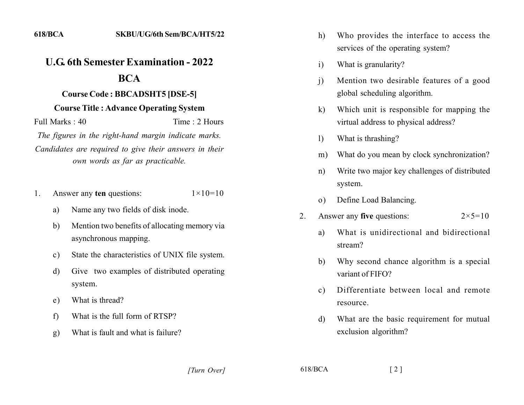## *<u>U.G. 6th Semester Examination - 2022</u>* **222**

## **22 Course Code : BBCADSHT5 [DSE-5]**

## **22 Course Title : Advance Operating System**

Full Marks : 40 Time : 2 Hours

The figures in the right-hand margin indicate marks. Candidates are required to give their answers in their *own words as far as practicable.* 

- 1. Answer any **ten** questions:  $1 \times 10=10$ 
	- a) Name any two fields of disk inode.
	- b. Mention two benefits of allocating memory via asynchronous mapping.
	- c) State the characteristics of UNIX file system.
	- d) Give two examples of distributed operating system.
	- e) What is thread?
	- f) What is the full form of RTSP?
	- g. What is fault and what is failure?
- h) Who provides the interface to access the services of the operating system?
- i) What is granularity?
- j) Mention two desirable features of a good global scheduling algorithm.
- $k$ ) Which unit is responsible for mapping the virtual address to physical address?
- 1) What is thrashing?
- m) What do you mean by clock synchronization?
- n) Write two major key challenges of distributed system.
- o) Define Load Balancing.
- 2. Answer any **five** questions:  $2 \times 5 = 10$ 
	- a) What is unidirectional and hidirectional stream?
	- b) Why second chance algorithm is a special variant of FIFO?
	- c) Differentiate between local and remote resource.
	- d) What are the basic requirement for mutual exclusion algorithm?

*[2]* [2] *[2]* [3]  $\frac{618}{BCA}$  [2]